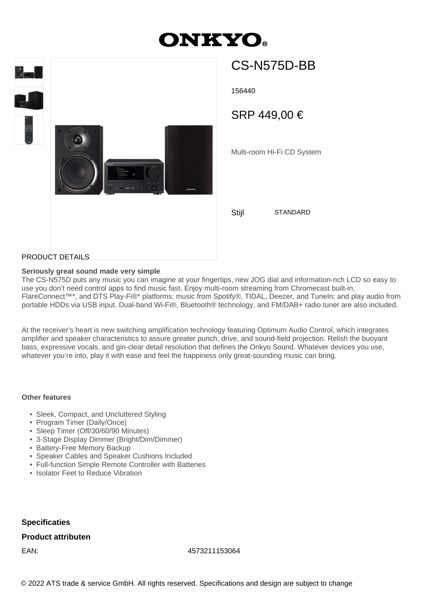# **ONKYO.**



## CS-N575D-BB

156440

SRP 449,00 €

Multi-room Hi-Fi CD System

Stiil STANDARD

PRODUCT DETAILS

### **Seriously great sound made very simple**

The CS-N575D puts any music you can imagine at your fingertips, new JOG dial and information-rich LCD so easy to use you don't need control apps to find music fast. Enjoy multi-room streaming from Chromecast built-in, FlareConnect™\*, and DTS Play-Fi®\* platforms; music from Spotify®, TIDAL, Deezer, and TuneIn; and play audio from portable HDDs via USB input. Dual-band Wi-Fi®, Bluetooth® technology, and FM/DAB+ radio tuner are also included.

At the receiver's heart is new switching amplification technology featuring Optimum Audio Control, which integrates amplifier and speaker characteristics to assure greater punch, drive, and sound-field projection. Relish the buoyant bass, expressive vocals, and gin-clear detail resolution that defines the Onkyo Sound. Whatever devices you use, whatever you're into, play it with ease and feel the happiness only great-sounding music can bring.

#### **Other features**

- Sleek, Compact, and Uncluttered Styling
- Program Timer (Daily/Once)
- Sleep Timer (Off/30/60/90 Minutes)
- 3-Stage Display Dimmer (Bright/Dim/Dimmer)
- Battery-Free Memory Backup
- Speaker Cables and Speaker Cushions Included
- Full-function Simple Remote Controller with Batteries
- Isolator Feet to Reduce Vibration

**Specificaties**

### **Product attributen**

EAN: 4573211153064